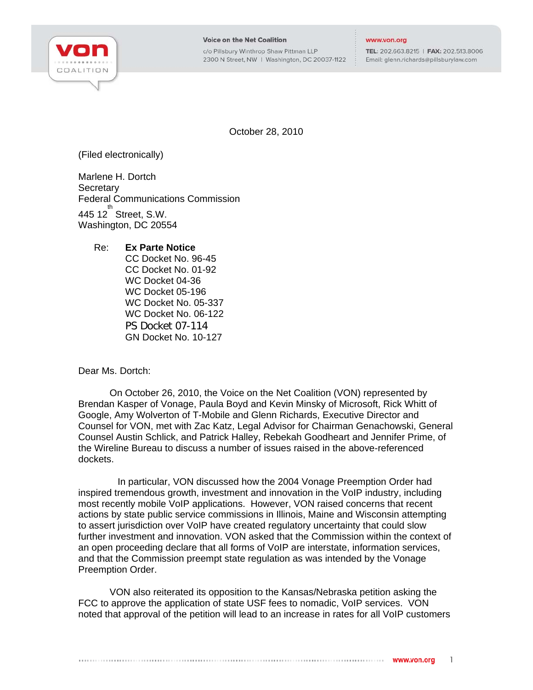

c/o Pillsbury Winthrop Shaw Pittman LLP 2300 N Street, NW | Washington, DC 20037-1122

## www.von.org

TEL: 202.663.8215 | FAX: 202.513.8006 Email: glenn.richards@pillsburylaw.com

October 28, 2010

(Filed electronically)

Marlene H. Dortch **Secretary** Federal Communications Commission  $445$  12 $^{th}$  Street, S.W. Washington, DC 20554

## Re: **Ex Parte Notice**

CC Docket No. 96-45 CC Docket No. 01-92 WC Docket 04-36 WC Docket 05-196 WC Docket No. 05-337 WC Docket No. 06-122 PS Docket 07-114 GN Docket No. 10-127

Dear Ms. Dortch:

On October 26, 2010, the Voice on the Net Coalition (VON) represented by Brendan Kasper of Vonage, Paula Boyd and Kevin Minsky of Microsoft, Rick Whitt of Google, Amy Wolverton of T-Mobile and Glenn Richards, Executive Director and Counsel for VON, met with Zac Katz, Legal Advisor for Chairman Genachowski, General Counsel Austin Schlick, and Patrick Halley, Rebekah Goodheart and Jennifer Prime, of the Wireline Bureau to discuss a number of issues raised in the above-referenced dockets.

 In particular, VON discussed how the 2004 Vonage Preemption Order had inspired tremendous growth, investment and innovation in the VoIP industry, including most recently mobile VoIP applications. However, VON raised concerns that recent actions by state public service commissions in Illinois, Maine and Wisconsin attempting to assert jurisdiction over VoIP have created regulatory uncertainty that could slow further investment and innovation. VON asked that the Commission within the context of an open proceeding declare that all forms of VoIP are interstate, information services, and that the Commission preempt state regulation as was intended by the Vonage Preemption Order.

VON also reiterated its opposition to the Kansas/Nebraska petition asking the FCC to approve the application of state USF fees to nomadic, VoIP services. VON noted that approval of the petition will lead to an increase in rates for all VoIP customers